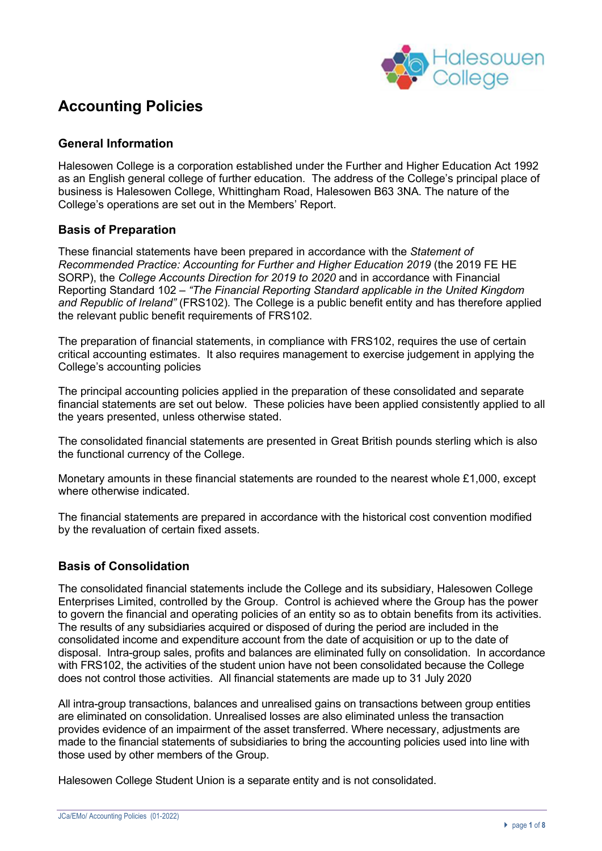

# **Accounting Policies**

# **General Information**

Halesowen College is a corporation established under the Further and Higher Education Act 1992 as an English general college of further education. The address of the College's principal place of business is Halesowen College, Whittingham Road, Halesowen B63 3NA. The nature of the College's operations are set out in the Members' Report.

# **Basis of Preparation**

These financial statements have been prepared in accordance with the *Statement of Recommended Practice: Accounting for Further and Higher Education 2019* (the 2019 FE HE SORP), the *College Accounts Direction for 2019 to 2020* and in accordance with Financial Reporting Standard 102 – *"The Financial Reporting Standard applicable in the United Kingdom and Republic of Ireland"* (FRS102)*.* The College is a public benefit entity and has therefore applied the relevant public benefit requirements of FRS102.

The preparation of financial statements, in compliance with FRS102, requires the use of certain critical accounting estimates. It also requires management to exercise judgement in applying the College's accounting policies

The principal accounting policies applied in the preparation of these consolidated and separate financial statements are set out below. These policies have been applied consistently applied to all the years presented, unless otherwise stated.

The consolidated financial statements are presented in Great British pounds sterling which is also the functional currency of the College.

Monetary amounts in these financial statements are rounded to the nearest whole £1,000, except where otherwise indicated.

The financial statements are prepared in accordance with the historical cost convention modified by the revaluation of certain fixed assets.

# **Basis of Consolidation**

The consolidated financial statements include the College and its subsidiary, Halesowen College Enterprises Limited, controlled by the Group. Control is achieved where the Group has the power to govern the financial and operating policies of an entity so as to obtain benefits from its activities. The results of any subsidiaries acquired or disposed of during the period are included in the consolidated income and expenditure account from the date of acquisition or up to the date of disposal. Intra-group sales, profits and balances are eliminated fully on consolidation. In accordance with FRS102, the activities of the student union have not been consolidated because the College does not control those activities. All financial statements are made up to 31 July 2020

All intra-group transactions, balances and unrealised gains on transactions between group entities are eliminated on consolidation. Unrealised losses are also eliminated unless the transaction provides evidence of an impairment of the asset transferred. Where necessary, adjustments are made to the financial statements of subsidiaries to bring the accounting policies used into line with those used by other members of the Group.

Halesowen College Student Union is a separate entity and is not consolidated.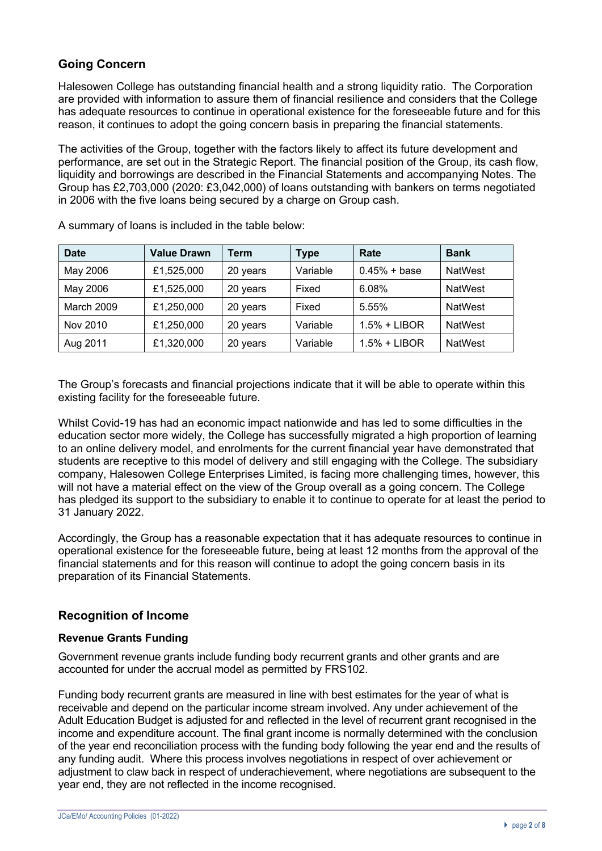# **Going Concern**

Halesowen College has outstanding financial health and a strong liquidity ratio. The Corporation are provided with information to assure them of financial resilience and considers that the College has adequate resources to continue in operational existence for the foreseeable future and for this reason, it continues to adopt the going concern basis in preparing the financial statements.

The activities of the Group, together with the factors likely to affect its future development and performance, are set out in the Strategic Report. The financial position of the Group, its cash flow, liquidity and borrowings are described in the Financial Statements and accompanying Notes. The Group has £2,703,000 (2020: £3,042,000) of loans outstanding with bankers on terms negotiated in 2006 with the five loans being secured by a charge on Group cash.

| <b>Date</b> | <b>Value Drawn</b> | <b>Term</b> | Type     | Rate           | <b>Bank</b>    |
|-------------|--------------------|-------------|----------|----------------|----------------|
| May 2006    | £1,525,000         | 20 years    | Variable | $0.45% + base$ | NatWest        |
| May 2006    | £1,525,000         | 20 years    | Fixed    | 6.08%          | NatWest        |
| March 2009  | £1,250,000         | 20 years    | Fixed    | 5.55%          | NatWest        |
| Nov 2010    | £1,250,000         | 20 years    | Variable | $1.5% + LIBOR$ | <b>NatWest</b> |
| Aug 2011    | £1,320,000         | 20 years    | Variable | $1.5% + LIBOR$ | <b>NatWest</b> |

A summary of loans is included in the table below:

The Group's forecasts and financial projections indicate that it will be able to operate within this existing facility for the foreseeable future.

Whilst Covid-19 has had an economic impact nationwide and has led to some difficulties in the education sector more widely, the College has successfully migrated a high proportion of learning to an online delivery model, and enrolments for the current financial year have demonstrated that students are receptive to this model of delivery and still engaging with the College. The subsidiary company, Halesowen College Enterprises Limited, is facing more challenging times, however, this will not have a material effect on the view of the Group overall as a going concern. The College has pledged its support to the subsidiary to enable it to continue to operate for at least the period to 31 January 2022.

Accordingly, the Group has a reasonable expectation that it has adequate resources to continue in operational existence for the foreseeable future, being at least 12 months from the approval of the financial statements and for this reason will continue to adopt the going concern basis in its preparation of its Financial Statements.

# **Recognition of Income**

# **Revenue Grants Funding**

Government revenue grants include funding body recurrent grants and other grants and are accounted for under the accrual model as permitted by FRS102.

Funding body recurrent grants are measured in line with best estimates for the year of what is receivable and depend on the particular income stream involved. Any under achievement of the Adult Education Budget is adjusted for and reflected in the level of recurrent grant recognised in the income and expenditure account. The final grant income is normally determined with the conclusion of the year end reconciliation process with the funding body following the year end and the results of any funding audit. Where this process involves negotiations in respect of over achievement or adjustment to claw back in respect of underachievement, where negotiations are subsequent to the year end, they are not reflected in the income recognised.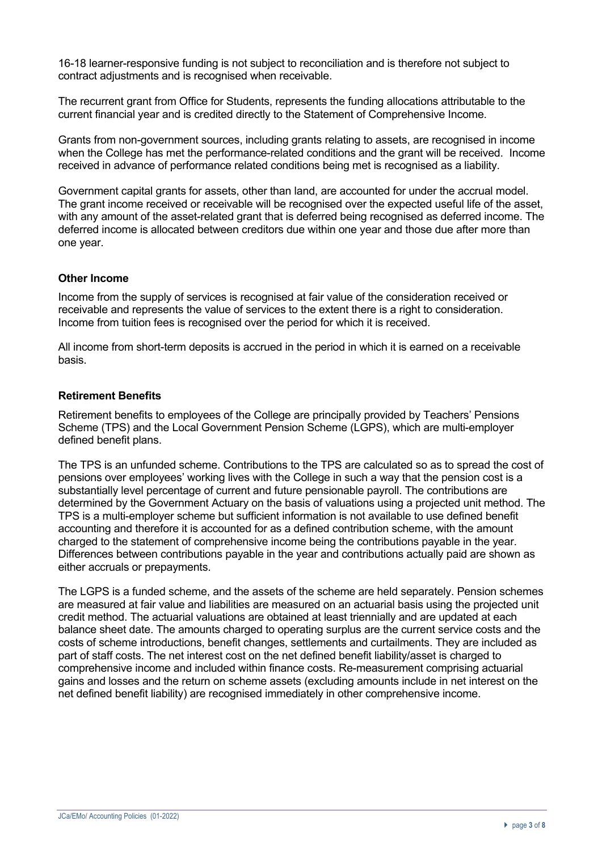16-18 learner-responsive funding is not subject to reconciliation and is therefore not subject to contract adjustments and is recognised when receivable.

The recurrent grant from Office for Students, represents the funding allocations attributable to the current financial year and is credited directly to the Statement of Comprehensive Income.

Grants from non-government sources, including grants relating to assets, are recognised in income when the College has met the performance-related conditions and the grant will be received. Income received in advance of performance related conditions being met is recognised as a liability.

Government capital grants for assets, other than land, are accounted for under the accrual model. The grant income received or receivable will be recognised over the expected useful life of the asset, with any amount of the asset-related grant that is deferred being recognised as deferred income. The deferred income is allocated between creditors due within one year and those due after more than one year.

# **Other Income**

Income from the supply of services is recognised at fair value of the consideration received or receivable and represents the value of services to the extent there is a right to consideration. Income from tuition fees is recognised over the period for which it is received.

All income from short-term deposits is accrued in the period in which it is earned on a receivable basis.

#### **Retirement Benefits**

Retirement benefits to employees of the College are principally provided by Teachers' Pensions Scheme (TPS) and the Local Government Pension Scheme (LGPS), which are multi-employer defined benefit plans.

The TPS is an unfunded scheme. Contributions to the TPS are calculated so as to spread the cost of pensions over employees' working lives with the College in such a way that the pension cost is a substantially level percentage of current and future pensionable payroll. The contributions are determined by the Government Actuary on the basis of valuations using a projected unit method. The TPS is a multi-employer scheme but sufficient information is not available to use defined benefit accounting and therefore it is accounted for as a defined contribution scheme, with the amount charged to the statement of comprehensive income being the contributions payable in the year. Differences between contributions payable in the year and contributions actually paid are shown as either accruals or prepayments.

The LGPS is a funded scheme, and the assets of the scheme are held separately. Pension schemes are measured at fair value and liabilities are measured on an actuarial basis using the projected unit credit method. The actuarial valuations are obtained at least triennially and are updated at each balance sheet date. The amounts charged to operating surplus are the current service costs and the costs of scheme introductions, benefit changes, settlements and curtailments. They are included as part of staff costs. The net interest cost on the net defined benefit liability/asset is charged to comprehensive income and included within finance costs. Re-measurement comprising actuarial gains and losses and the return on scheme assets (excluding amounts include in net interest on the net defined benefit liability) are recognised immediately in other comprehensive income.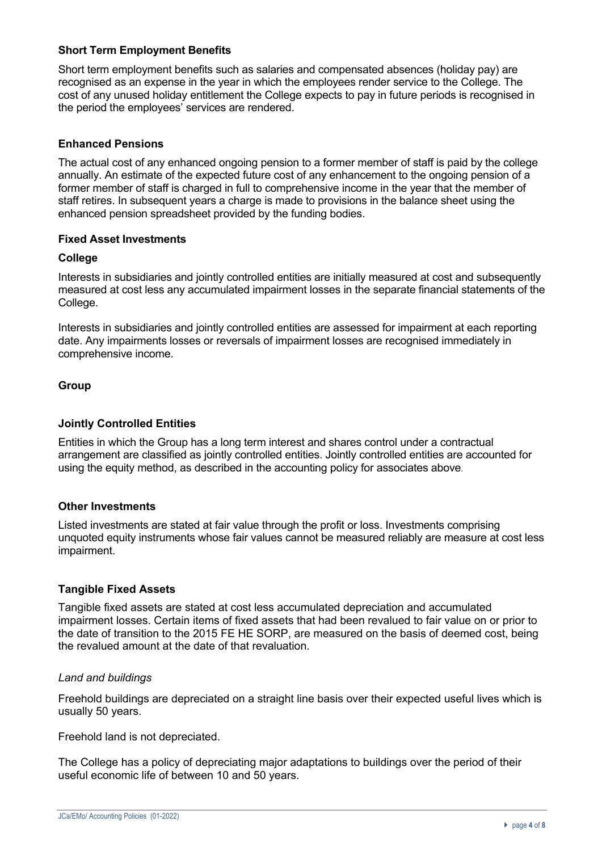# **Short Term Employment Benefits**

Short term employment benefits such as salaries and compensated absences (holiday pay) are recognised as an expense in the year in which the employees render service to the College. The cost of any unused holiday entitlement the College expects to pay in future periods is recognised in the period the employees' services are rendered.

# **Enhanced Pensions**

The actual cost of any enhanced ongoing pension to a former member of staff is paid by the college annually. An estimate of the expected future cost of any enhancement to the ongoing pension of a former member of staff is charged in full to comprehensive income in the year that the member of staff retires. In subsequent years a charge is made to provisions in the balance sheet using the enhanced pension spreadsheet provided by the funding bodies.

### **Fixed Asset Investments**

### **College**

Interests in subsidiaries and jointly controlled entities are initially measured at cost and subsequently measured at cost less any accumulated impairment losses in the separate financial statements of the College.

Interests in subsidiaries and jointly controlled entities are assessed for impairment at each reporting date. Any impairments losses or reversals of impairment losses are recognised immediately in comprehensive income.

# **Group**

# **Jointly Controlled Entities**

Entities in which the Group has a long term interest and shares control under a contractual arrangement are classified as jointly controlled entities. Jointly controlled entities are accounted for using the equity method, as described in the accounting policy for associates above.

# **Other Investments**

Listed investments are stated at fair value through the profit or loss. Investments comprising unquoted equity instruments whose fair values cannot be measured reliably are measure at cost less impairment.

# **Tangible Fixed Assets**

Tangible fixed assets are stated at cost less accumulated depreciation and accumulated impairment losses. Certain items of fixed assets that had been revalued to fair value on or prior to the date of transition to the 2015 FE HE SORP, are measured on the basis of deemed cost, being the revalued amount at the date of that revaluation.

#### *Land and buildings*

Freehold buildings are depreciated on a straight line basis over their expected useful lives which is usually 50 years.

Freehold land is not depreciated.

The College has a policy of depreciating major adaptations to buildings over the period of their useful economic life of between 10 and 50 years.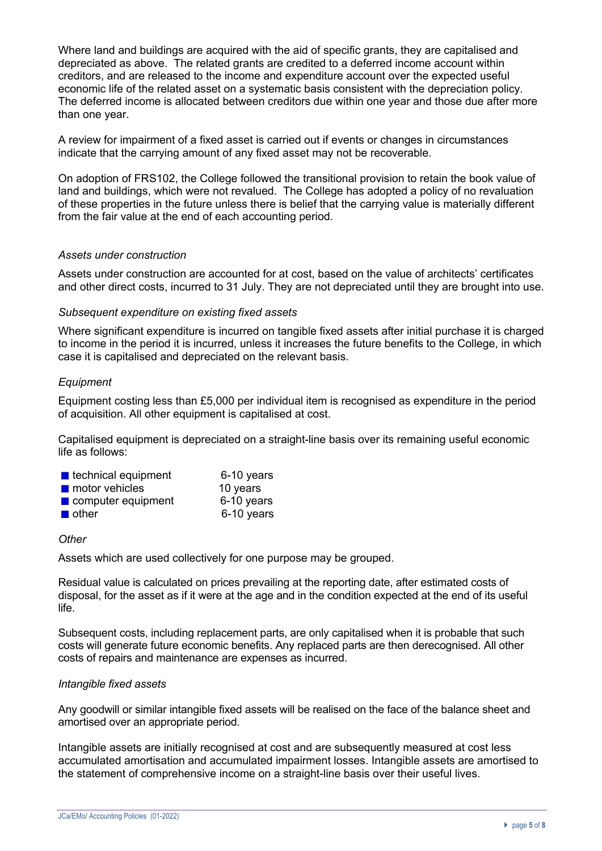Where land and buildings are acquired with the aid of specific grants, they are capitalised and depreciated as above. The related grants are credited to a deferred income account within creditors, and are released to the income and expenditure account over the expected useful economic life of the related asset on a systematic basis consistent with the depreciation policy. The deferred income is allocated between creditors due within one year and those due after more than one year.

A review for impairment of a fixed asset is carried out if events or changes in circumstances indicate that the carrying amount of any fixed asset may not be recoverable.

On adoption of FRS102, the College followed the transitional provision to retain the book value of land and buildings, which were not revalued. The College has adopted a policy of no revaluation of these properties in the future unless there is belief that the carrying value is materially different from the fair value at the end of each accounting period.

### *Assets under construction*

Assets under construction are accounted for at cost, based on the value of architects' certificates and other direct costs, incurred to 31 July. They are not depreciated until they are brought into use.

### *Subsequent expenditure on existing fixed assets*

Where significant expenditure is incurred on tangible fixed assets after initial purchase it is charged to income in the period it is incurred, unless it increases the future benefits to the College, in which case it is capitalised and depreciated on the relevant basis.

# *Equipment*

Equipment costing less than £5,000 per individual item is recognised as expenditure in the period of acquisition. All other equipment is capitalised at cost.

Capitalised equipment is depreciated on a straight-line basis over its remaining useful economic life as follows:

| $\blacksquare$ technical equipment | 6-10 years |
|------------------------------------|------------|
| <b>n</b> motor vehicles            | 10 years   |
| $\blacksquare$ computer equipment  | 6-10 years |
| $\blacksquare$ other               | 6-10 years |

#### *Other*

Assets which are used collectively for one purpose may be grouped.

Residual value is calculated on prices prevailing at the reporting date, after estimated costs of disposal, for the asset as if it were at the age and in the condition expected at the end of its useful life.

Subsequent costs, including replacement parts, are only capitalised when it is probable that such costs will generate future economic benefits. Any replaced parts are then derecognised. All other costs of repairs and maintenance are expenses as incurred.

#### *Intangible fixed assets*

Any goodwill or similar intangible fixed assets will be realised on the face of the balance sheet and amortised over an appropriate period.

Intangible assets are initially recognised at cost and are subsequently measured at cost less accumulated amortisation and accumulated impairment losses. Intangible assets are amortised to the statement of comprehensive income on a straight-line basis over their useful lives.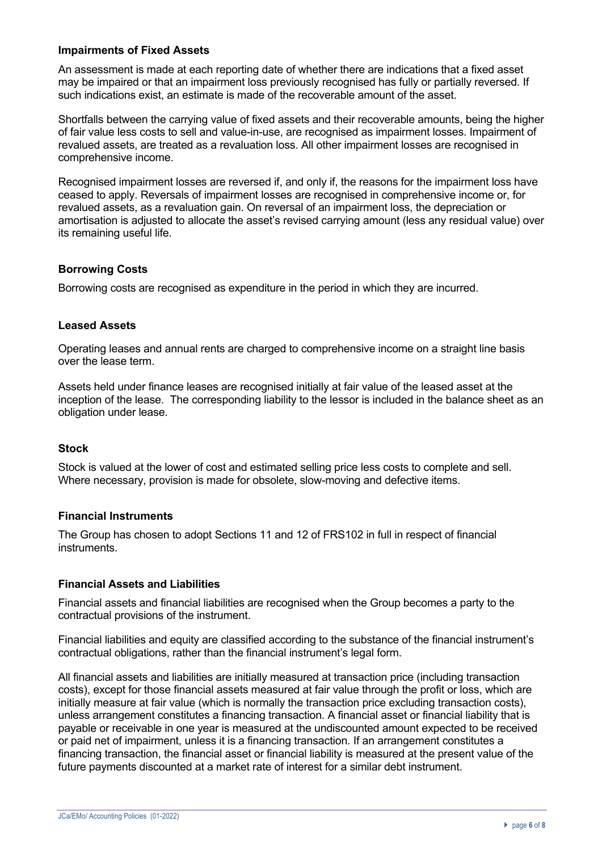### **Impairments of Fixed Assets**

An assessment is made at each reporting date of whether there are indications that a fixed asset may be impaired or that an impairment loss previously recognised has fully or partially reversed. If such indications exist, an estimate is made of the recoverable amount of the asset.

Shortfalls between the carrying value of fixed assets and their recoverable amounts, being the higher of fair value less costs to sell and value-in-use, are recognised as impairment losses. Impairment of revalued assets, are treated as a revaluation loss. All other impairment losses are recognised in comprehensive income.

Recognised impairment losses are reversed if, and only if, the reasons for the impairment loss have ceased to apply. Reversals of impairment losses are recognised in comprehensive income or, for revalued assets, as a revaluation gain. On reversal of an impairment loss, the depreciation or amortisation is adjusted to allocate the asset's revised carrying amount (less any residual value) over its remaining useful life.

### **Borrowing Costs**

Borrowing costs are recognised as expenditure in the period in which they are incurred.

### **Leased Assets**

Operating leases and annual rents are charged to comprehensive income on a straight line basis over the lease term.

Assets held under finance leases are recognised initially at fair value of the leased asset at the inception of the lease. The corresponding liability to the lessor is included in the balance sheet as an obligation under lease.

#### **Stock**

Stock is valued at the lower of cost and estimated selling price less costs to complete and sell. Where necessary, provision is made for obsolete, slow-moving and defective items.

#### **Financial Instruments**

The Group has chosen to adopt Sections 11 and 12 of FRS102 in full in respect of financial instruments.

#### **Financial Assets and Liabilities**

Financial assets and financial liabilities are recognised when the Group becomes a party to the contractual provisions of the instrument.

Financial liabilities and equity are classified according to the substance of the financial instrument's contractual obligations, rather than the financial instrument's legal form.

All financial assets and liabilities are initially measured at transaction price (including transaction costs), except for those financial assets measured at fair value through the profit or loss, which are initially measure at fair value (which is normally the transaction price excluding transaction costs), unless arrangement constitutes a financing transaction. A financial asset or financial liability that is payable or receivable in one year is measured at the undiscounted amount expected to be received or paid net of impairment, unless it is a financing transaction. If an arrangement constitutes a financing transaction, the financial asset or financial liability is measured at the present value of the future payments discounted at a market rate of interest for a similar debt instrument.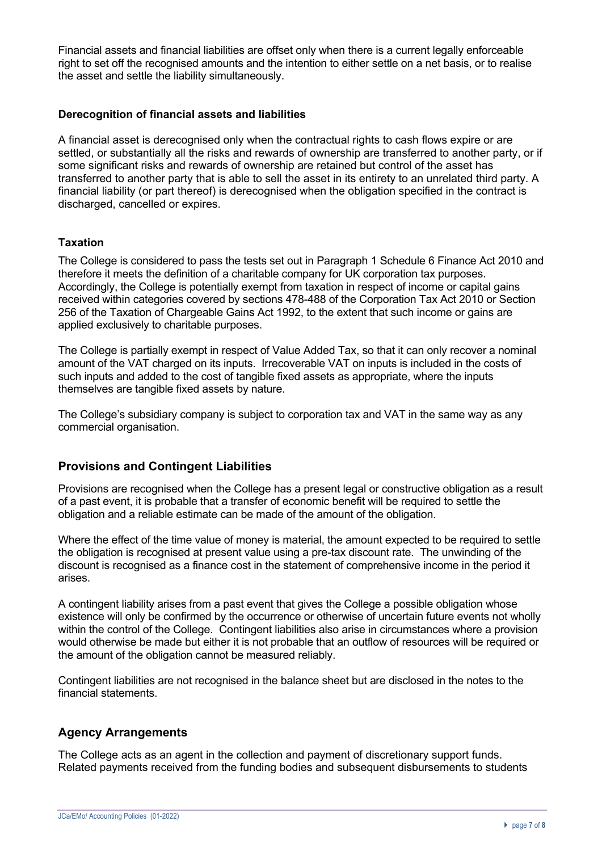Financial assets and financial liabilities are offset only when there is a current legally enforceable right to set off the recognised amounts and the intention to either settle on a net basis, or to realise the asset and settle the liability simultaneously.

### **Derecognition of financial assets and liabilities**

A financial asset is derecognised only when the contractual rights to cash flows expire or are settled, or substantially all the risks and rewards of ownership are transferred to another party, or if some significant risks and rewards of ownership are retained but control of the asset has transferred to another party that is able to sell the asset in its entirety to an unrelated third party. A financial liability (or part thereof) is derecognised when the obligation specified in the contract is discharged, cancelled or expires.

### **Taxation**

The College is considered to pass the tests set out in Paragraph 1 Schedule 6 Finance Act 2010 and therefore it meets the definition of a charitable company for UK corporation tax purposes. Accordingly, the College is potentially exempt from taxation in respect of income or capital gains received within categories covered by sections 478-488 of the Corporation Tax Act 2010 or Section 256 of the Taxation of Chargeable Gains Act 1992, to the extent that such income or gains are applied exclusively to charitable purposes.

The College is partially exempt in respect of Value Added Tax, so that it can only recover a nominal amount of the VAT charged on its inputs. Irrecoverable VAT on inputs is included in the costs of such inputs and added to the cost of tangible fixed assets as appropriate, where the inputs themselves are tangible fixed assets by nature.

The College's subsidiary company is subject to corporation tax and VAT in the same way as any commercial organisation.

# **Provisions and Contingent Liabilities**

Provisions are recognised when the College has a present legal or constructive obligation as a result of a past event, it is probable that a transfer of economic benefit will be required to settle the obligation and a reliable estimate can be made of the amount of the obligation.

Where the effect of the time value of money is material, the amount expected to be required to settle the obligation is recognised at present value using a pre-tax discount rate. The unwinding of the discount is recognised as a finance cost in the statement of comprehensive income in the period it arises.

A contingent liability arises from a past event that gives the College a possible obligation whose existence will only be confirmed by the occurrence or otherwise of uncertain future events not wholly within the control of the College. Contingent liabilities also arise in circumstances where a provision would otherwise be made but either it is not probable that an outflow of resources will be required or the amount of the obligation cannot be measured reliably.

Contingent liabilities are not recognised in the balance sheet but are disclosed in the notes to the financial statements.

# **Agency Arrangements**

The College acts as an agent in the collection and payment of discretionary support funds. Related payments received from the funding bodies and subsequent disbursements to students